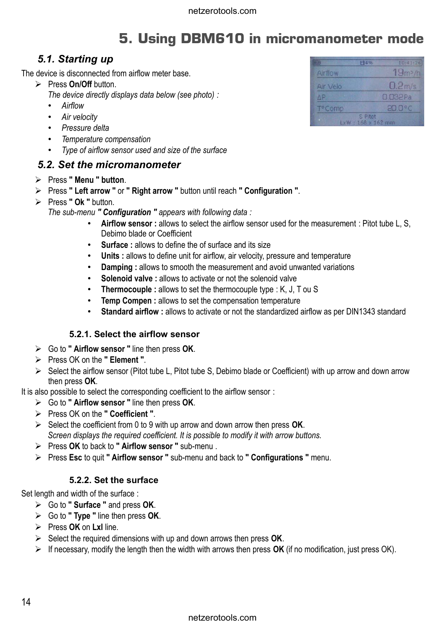# **5. Using DBM610 in micromanometer mode**

## *5.1. Starting up*

The device is disconnected from airflow meter base.

➢ Press **On/Off** button.

*The device directly displays data below (see photo) :*

- *Airflow*
- *Air velocity*
- *Pressure delta*
- *Temperature compensation*
- *Type of airflow sensor used and size of the surface*

### *5.2. Set the micromanometer*

- ➢ Press **" Menu " button**.
- ➢ Press **" Left arrow "** or **" Right arrow "** button until reach **" Configuration "**.
- ➢ Press **" Ok "** button.

*The sub-menu " Configuration " appears with following data :* 

- **Airflow sensor :** allows to select the airflow sensor used for the measurement : Pitot tube L, S, Debimo blade or Coefficient
- **Surface :** allows to define the of surface and its size
- **Units :** allows to define unit for airflow, air velocity, pressure and temperature
- **Damping :** allows to smooth the measurement and avoid unwanted variations
- **Solenoid valve :** allows to activate or not the solenoid valve
- **Thermocouple :** allows to set the thermocouple type : K, J, T ou S
- **Temp Compen :** allows to set the compensation temperature
- Standard airflow : allows to activate or not the standardized airflow as per DIN1343 standard

#### **5.2.1. Select the airflow sensor**

- ➢ Go to **" Airflow sensor "** line then press **OK**.
- ➢ Press OK on the **" Element "**.
- ➢ Select the airflow sensor (Pitot tube L, Pitot tube S, Debimo blade or Coefficient) with up arrow and down arrow then press **OK**.

It is also possible to select the corresponding coefficient to the airflow sensor :

- ➢ Go to **" Airflow sensor "** line then press **OK**.
- ➢ Press OK on the **" Coefficient "**.
- ➢ Select the coefficient from 0 to 9 with up arrow and down arrow then press **OK**. *Screen displays the required coefficient. It is possible to modify it with arrow buttons.*
- ➢ Press **OK** to back to **" Airflow sensor "** sub-menu .
- ➢ Press **Esc** to quit **" Airflow sensor "** sub-menu and back to **" Configurations "** menu.

#### **5.2.2. Set the surface**

Set length and width of the surface :

- ➢ Go to **" Surface "** and press **OK**.
- ➢ Go to **" Type "** line then press **OK**.
- ➢ Press **OK** on **Lxl** line.
- ➢ Select the required dimensions with up and down arrows then press **OK**.
- ➢ If necessary, modify the length then the width with arrows then press **OK** (if no modification, just press OK).

| सार                       | 日4% | 10:41:26          |
|---------------------------|-----|-------------------|
| Airflow                   |     | $19m^3/h$         |
| Air Velo                  |     | 0.2 <sub>ms</sub> |
| AP.                       |     | 0032Pa            |
| T <sup>o</sup> Comp       |     | $200^{\circ}$ C   |
| S Pitot<br>LxW: 168x162mm |     |                   |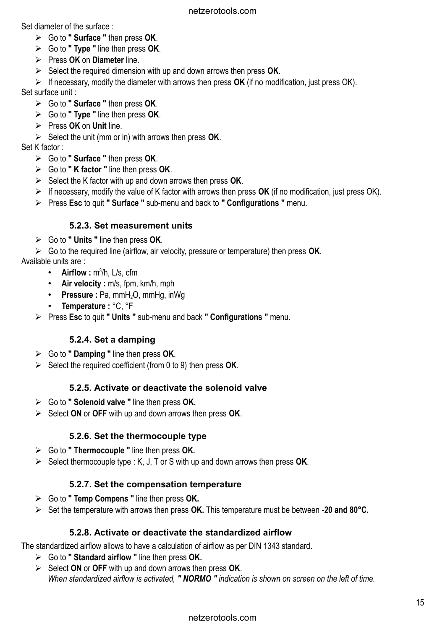Set diameter of the surface :

- ➢ Go to **" Surface "** then press **OK**.
- ➢ Go to **" Type "** line then press **OK**.
- ➢ Press **OK** on **Diameter** line.
- ➢ Select the required dimension with up and down arrows then press **OK**.
- ➢ If necessary, modify the diameter with arrows then press **OK** (if no modification, just press OK).

Set surface unit :

- ➢ Go to **" Surface "** then press **OK**.
- ➢ Go to **" Type "** line then press **OK**.
- ➢ Press **OK** on **Unit** line.
- ➢ Select the unit (mm or in) with arrows then press **OK**.

Set K factor :

- ➢ Go to **" Surface "** then press **OK**.
- ➢ Go to **" K factor "** line then press **OK**.
- ➢ Select the K factor with up and down arrows then press **OK**.
- ➢ If necessary, modify the value of K factor with arrows then press **OK** (if no modification, just press OK).
- ➢ Press **Esc** to quit **" Surface "** sub-menu and back to **" Configurations "** menu.

## **5.2.3. Set measurement units**

- ➢ Go to **" Units "** line then press **OK**.
- ➢ Go to the required line (airflow, air velocity, pressure or temperature) then press **OK**.

Available units are :

- **Airflow**: m<sup>3</sup>/h, L/s, cfm
- **Air velocity :** m/s, fpm, km/h, mph
- **Pressure : Pa, mmH<sub>2</sub>O, mmHg, inWg**
- **Temperature :** °C, °F
- ➢ Press **Esc** to quit **" Units "** sub-menu and back **" Configurations "** menu.

## **5.2.4. Set a damping**

- ➢ Go to **" Damping "** line then press **OK**.
- ➢ Select the required coefficient (from 0 to 9) then press **OK**.

### **5.2.5. Activate or deactivate the solenoid valve**

- ➢ Go to **" Solenoid valve "** line then press **OK.**
- ➢ Select **ON** or **OFF** with up and down arrows then press **OK**.

## **5.2.6. Set the thermocouple type**

- ➢ Go to **" Thermocouple "** line then press **OK.**
- ➢ Select thermocouple type : K, J, T or S with up and down arrows then press **OK**.

## **5.2.7. Set the compensation temperature**

- ➢ Go to **" Temp Compens "** line then press **OK.**
- ➢ Set the temperature with arrows then press **OK.** This temperature must be between **-20 and 80°C.**

### **5.2.8. Activate or deactivate the standardized airflow**

The standardized airflow allows to have a calculation of airflow as per DIN 1343 standard.

- ➢ Go to **" Standard airflow "** line then press **OK.**
- ➢ Select **ON** or **OFF** with up and down arrows then press **OK**. *When standardized airflow is activated, " NORMO " indication is shown on screen on the left of time.*

## netzerotools.com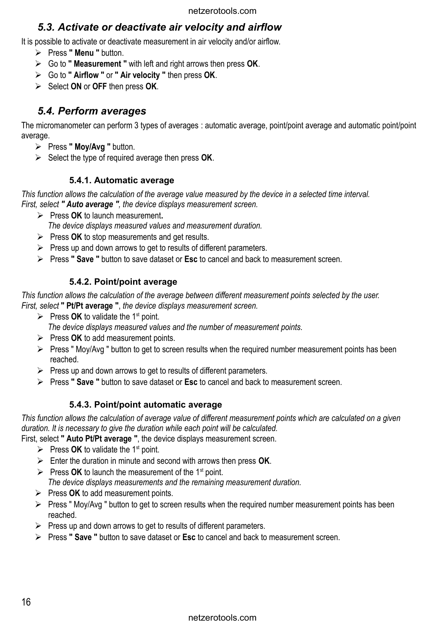## *5.3. Activate or deactivate air velocity and airflow*

It is possible to activate or deactivate measurement in air velocity and/or airflow.

- ➢ Press **" Menu "** button.
- ➢ Go to **" Measurement "** with left and right arrows then press **OK**.
- ➢ Go to **" Airflow "** or **" Air velocity "** then press **OK**.
- ➢ Select **ON** or **OFF** then press **OK**.

### *5.4. Perform averages*

The micromanometer can perform 3 types of averages : automatic average, point/point average and automatic point/point average.

- ➢ Press **" Moy/Avg "** button.
- ➢ Select the type of required average then press **OK**.

#### **5.4.1. Automatic average**

*This function allows the calculation of the average value measured by the device in a selected time interval. First, select " Auto average ", the device displays measurement screen.*

➢ Press **OK** to launch measurement**.**

*The device displays measured values and measurement duration.*

- ➢ Press **OK** to stop measurements and get results.
- $\triangleright$  Press up and down arrows to get to results of different parameters.
- ➢ Press **" Save "** button to save dataset or **Esc** to cancel and back to measurement screen.

### **5.4.2. Point/point average**

*This function allows the calculation of the average between different measurement points selected by the user. First, select* **" Pt/Pt average "**, *the device displays measurement screen.*

- $\triangleright$  Press **OK** to validate the 1<sup>st</sup> point. *The device displays measured values and the number of measurement points.*
- ➢ Press **OK** to add measurement points.
- ➢ Press " Moy/Avg " button to get to screen results when the required number measurement points has been reached.
- $\triangleright$  Press up and down arrows to get to results of different parameters.
- ➢ Press **" Save "** button to save dataset or **Esc** to cancel and back to measurement screen.

### **5.4.3. Point/point automatic average**

*This function allows the calculation of average value of different measurement points which are calculated on a given duration. It is necessary to give the duration while each point will be calculated.*

First, select **" Auto Pt/Pt average "**, the device displays measurement screen.

- $\triangleright$  Press **OK** to validate the 1<sup>st</sup> point.
- ➢ Enter the duration in minute and second with arrows then press **OK**.
- $\triangleright$  Press **OK** to launch the measurement of the 1<sup>st</sup> point. *The device displays measurements and the remaining measurement duration.*
- ➢ Press **OK** to add measurement points.
- ➢ Press " Moy/Avg " button to get to screen results when the required number measurement points has been reached.
- $\triangleright$  Press up and down arrows to get to results of different parameters.
- ➢ Press **" Save "** button to save dataset or **Esc** to cancel and back to measurement screen.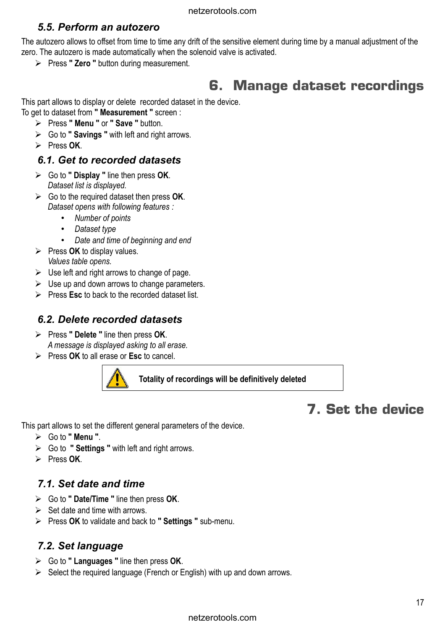## *5.5. Perform an autozero*

The autozero allows to offset from time to time any drift of the sensitive element during time by a manual adjustment of the zero. The autozero is made automatically when the solenoid valve is activated.

➢ Press **" Zero "** button during measurement.

# **6. Manage dataset recordings**

This part allows to display or delete recorded dataset in the device. To get to dataset from **" Measurement "** screen :

- ➢ Press **" Menu "** or **" Save "** button.
- ➢ Go to **" Savings "** with left and right arrows.
- ➢ Press **OK**.

### *6.1. Get to recorded datasets*

- ➢ Go to **" Display "** line then press **OK**. *Dataset list is displayed.*
- ➢ Go to the required dataset then press **OK**. *Dataset opens with following features :* 
	- *Number of points*
	- *Dataset type*
	- *Date and time of beginning and end*
- ➢ Press **OK** to display values. *Values table opens.*
- $\triangleright$  Use left and right arrows to change of page.
- $\triangleright$  Use up and down arrows to change parameters.
- ➢ Press **Esc** to back to the recorded dataset list.

### *6.2. Delete recorded datasets*

- ➢ Press **" Delete "** line then press **OK**. *A message is displayed asking to all erase.*
- ➢ Press **OK** to all erase or **Esc** to cancel.



**Totality of recordings will be definitively deleted**

# **7. Set the device**

This part allows to set the different general parameters of the device.

- ➢ Go to **" Menu "**.
- ➢ Go to **" Settings "** with left and right arrows.
- ➢ Press **OK**.

### *7.1. Set date and time*

- ➢ Go to **" Date/Time "** line then press **OK**.
- $\triangleright$  Set date and time with arrows.
- ➢ Press **OK** to validate and back to **" Settings "** sub-menu.

## *7.2. Set language*

- ➢ Go to **" Languages "** line then press **OK**.
- $\triangleright$  Select the required language (French or English) with up and down arrows.